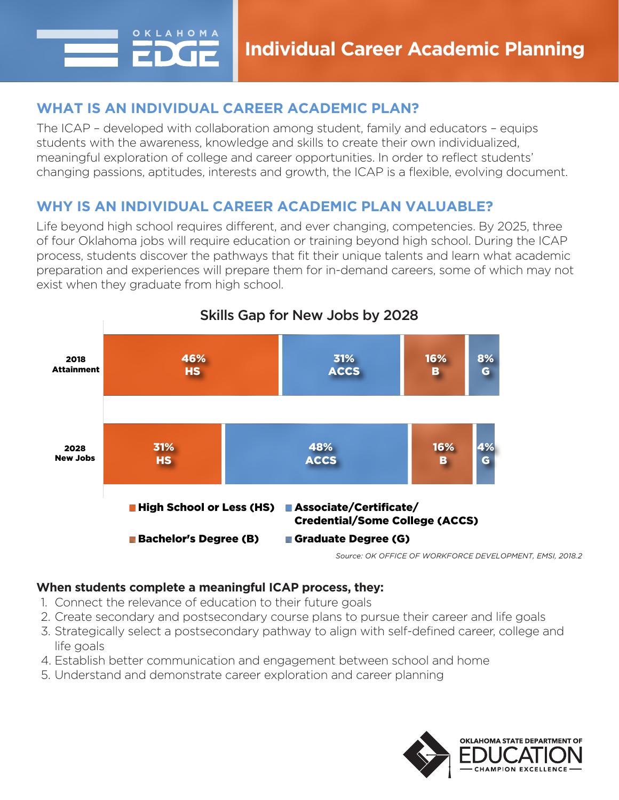

## **WHAT IS AN INDIVIDUAL CAREER ACADEMIC PLAN?**

The ICAP – developed with collaboration among student, family and educators – equips students with the awareness, knowledge and skills to create their own individualized, meaningful exploration of college and career opportunities. In order to reflect students' changing passions, aptitudes, interests and growth, the ICAP is a flexible, evolving document.

# **WHY IS AN INDIVIDUAL CAREER ACADEMIC PLAN VALUABLE?**

Life beyond high school requires different, and ever changing, competencies. By 2025, three of four Oklahoma jobs will require education or training beyond high school. During the ICAP process, students discover the pathways that fit their unique talents and learn what academic preparation and experiences will prepare them for in-demand careers, some of which may not exist when they graduate from high school.



### **When students complete a meaningful ICAP process, they:**

- 1. Connect the relevance of education to their future goals
- 2. Create secondary and postsecondary course plans to pursue their career and life goals
- 3. Strategically select a postsecondary pathway to align with self-defined career, college and life goals
- 4. Establish better communication and engagement between school and home
- 5. Understand and demonstrate career exploration and career planning